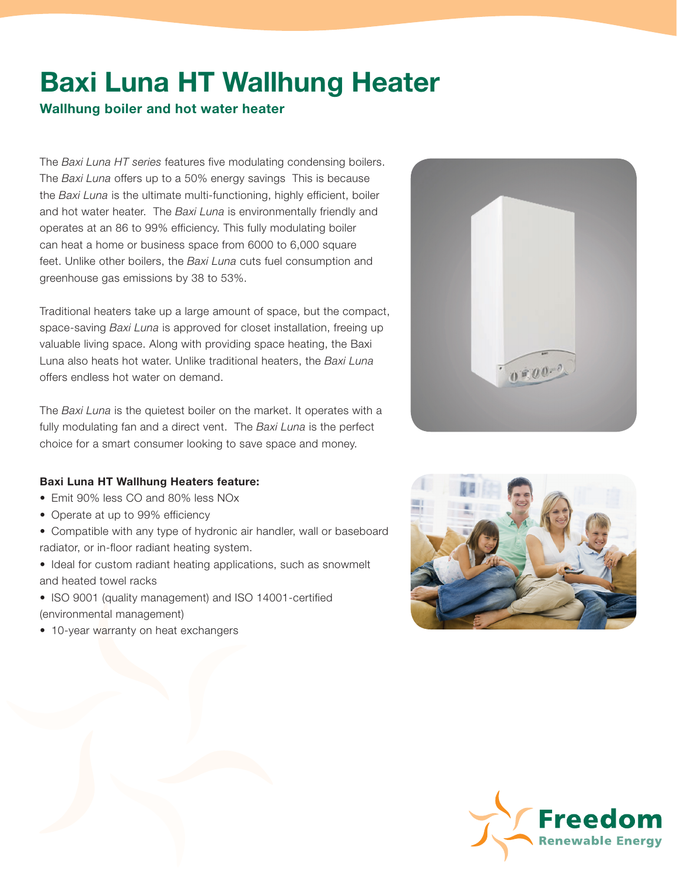## Baxi Luna HT Wallhung Heater

## Wallhung boiler and hot water heater

The *Baxi Luna HT series* features five modulating condensing boilers. The *Baxi Luna* offers up to a 50% energy savings This is because the *Baxi Luna* is the ultimate multi-functioning, highly efficient, boiler and hot water heater. The *Baxi Luna* is environmentally friendly and operates at an 86 to 99% efficiency. This fully modulating boiler can heat a home or business space from 6000 to 6,000 square feet. Unlike other boilers, the *Baxi Luna* cuts fuel consumption and greenhouse gas emissions by 38 to 53%.

Traditional heaters take up a large amount of space, but the compact, space-saving *Baxi Luna* is approved for closet installation, freeing up valuable living space. Along with providing space heating, the Baxi Luna also heats hot water. Unlike traditional heaters, the *Baxi Luna*  offers endless hot water on demand.

The *Baxi Luna* is the quietest boiler on the market. It operates with a fully modulating fan and a direct vent. The *Baxi Luna* is the perfect choice for a smart consumer looking to save space and money.

## Baxi Luna HT Wallhung Heaters feature:

- Emit 90% less CO and 80% less NOx
- Operate at up to 99% efficiency
- Compatible with any type of hydronic air handler, wall or baseboard radiator, or in-floor radiant heating system.
- Ideal for custom radiant heating applications, such as snowmelt and heated towel racks
- ISO 9001 (quality management) and ISO 14001-certified (environmental management)
- 10-year warranty on heat exchangers